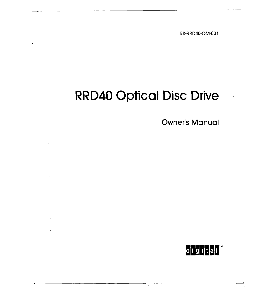EK-RRD40-OM-001

# **RRD40 Optical Disc Drive**

 $\omega$ 

 $\frac{1}{2}$ 

 $\mathcal{A}^{\mathcal{A}}$ 

 $\ddot{1}$ 

 $\frac{1}{4}$ 

 $\frac{1}{\sqrt{2}}$ 

Owner's Manual

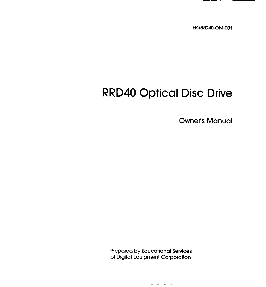EK-RRD40-OM-001

# **RRD40 Optical Disc Drive**

Owner's Manual

Prepared by Educational Services of Digital Equipment Corporation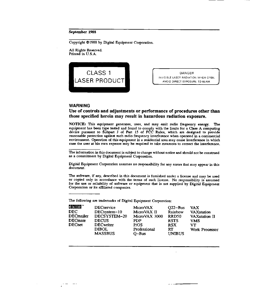#### **September 1988**

Copyright ©1988 by Digital Equipment Corporation.

All Rights Reserved. Printed in U.S.A.



DANGER INVISIBLE LASER RADIATION WHEN OPEN. AVOID DIRECT EXPOSURE TO BEAM

#### **WARNING**

 $\frac{1}{2}$ 

 $\sim$   $\sim$ 

#### **Use of controls and adjustments or performance of procedures other than those specified herein may result in hazardous radiation exposure.**

NOTICE: This equipment generates, uses, and may emit radio frequency energy. The equipment has been type tested and found to comply with the limits for a Class A computing device pursuant to Subpart J of Part 15 of FCC Rules, which are designed to provide reasonable protection against such radio frequency interference when operated in a commercial environment. Operation of this equipment in a residential area may cause interference in which case the user at his own expense may be required to talce measures to correct the interference.

The information in this document is subject to change without notice and should not be construed as a commitment by Digital Equipment Corporation.

Digital Equipment Corporation assumes no responsibility for any errors that may appear in this document.

The software, if any, described in this document is furnished under a license and may be used or copied only in accordance with the terms of such license. No responsibility is assumed for the use or reliability of software or equipment that is not supplied by Digital Equipment Corporation or its affiliated companies.

The following are trademarks of Digital Equipment Corporation:

| diightali <sup>n</sup> | <b>DECservice</b> | MicroVAX      | $Q22 - Bus$       | <b>VAX</b>            |
|------------------------|-------------------|---------------|-------------------|-----------------------|
| <b>DEC</b>             | DECsystem-10      | MicroVAX II   | Rainbow           | <b>VAXstation</b>     |
| <b>DECmailer</b>       | DECSYSTEM-20      | MicroVAX 3000 | RRD <sub>50</sub> | <b>VAXstation II</b>  |
| <b>DECmate</b>         | <b>DECUS</b>      | PDP           | <b>RSTS</b>       | <b>VMS</b>            |
| <b>DECnet</b>          | <b>DECwriter</b>  | P/OS          | <b>RSX</b>        | VT.                   |
|                        | <b>DIBOL</b>      | Professional  | RT                | <b>Work Processor</b> |
|                        | <b>MASSBUS</b>    | $O-Bus$       | <b>UNIBUS</b>     |                       |
|                        |                   |               |                   |                       |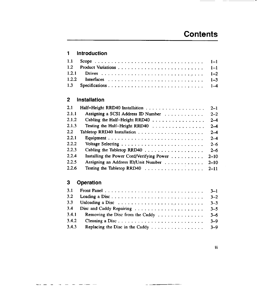- -

## **1 Introduction**

## **2 Installation**

| 2.1   |                                           | $2 - 1$  |
|-------|-------------------------------------------|----------|
| 2.1.1 | Assigning a SCSI Address ID Number        | $2 - 2$  |
| 2.1.2 | Cabling the Half-Height RRD40             | $2 - 4$  |
| 2.1.3 | Testing the Half-Height RRD40             | $2 - 4$  |
| 2.2   |                                           | $2 - 4$  |
| 2.2.1 |                                           | $2 - 4$  |
| 2.2.2 |                                           | $2 - 6$  |
| 2.2.3 | Cabling the Tabletop RRD40                | $2 - 6$  |
| 2.2.4 | Installing the Power Cord/Verifying Power | $2 - 10$ |
| 2.2.5 | Assigning an Address ID/Unit Number       | $2 - 10$ |
| 2.2.6 |                                           | $2 - 11$ |

## **3 Operation**

| 3.1   |                                                                            | $3-1$   |
|-------|----------------------------------------------------------------------------|---------|
| 3.2   | Loading a Disc                                                             | $3 - 2$ |
| 3.3   | Unloading a Disc $\ldots \ldots \ldots \ldots \ldots \ldots \ldots \ldots$ | $3 - 3$ |
| 3.4   |                                                                            | $3 - 5$ |
| 3.4.1 | Removing the Disc from the Caddy                                           | $3 - 6$ |
| 3.4.2 | Cleaning a Disc                                                            | $3 - 9$ |
| 3.4.3 |                                                                            | $3 - 9$ |

 $\sim$   $\sim$ 

Iii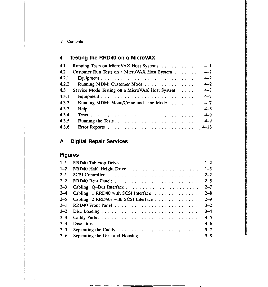# **4 Testing the RRD40 on a MicroVAX**

| 4.1   | Running Tests on MicroVAX Host Systems         | $4 - 1$ |
|-------|------------------------------------------------|---------|
| 4.2   | Customer Run Tests on a MicroVAX Host System   | $4 - 2$ |
| 4.2.1 |                                                | $4 - 2$ |
| 4.2.2 | Running MDM: Customer Mode                     | $4 - 2$ |
| 4.3   | Service Mode Testing on a MicroVAX Host System | $4 - 7$ |
| 4.3.1 |                                                | $4 - 7$ |
| 4.3.2 | Running MDM: Menu/Command Line Mode            | $4 - 7$ |
| 4.3.3 |                                                | $4 - 8$ |
| 4.3.4 |                                                | $4 - 9$ |
| 4.3.5 |                                                | $4 - 9$ |
| 4.3.6 |                                                |         |

# **A Digital Repair Services**

. . . . . .

# **Figures**

| $1 - 1$ |                                       | $1 - 2$ |
|---------|---------------------------------------|---------|
| $1 - 2$ | RRD40 Half-Height Drive               | $1 - 3$ |
| $2 - 1$ |                                       | $2 - 2$ |
| $2 - 2$ |                                       | $2 - 5$ |
| $2 - 3$ |                                       | $2 - 7$ |
| $2 - 4$ | Cabling: 1 RRD40 with SCSI Interface  | $2 - 8$ |
| $2 - 5$ | Cabling: 2 RRD40s with SCSI Interface | $2 - 9$ |
| $3 - 1$ |                                       | $3 - 2$ |
| $3 - 2$ |                                       | $3 - 4$ |
| $3 - 3$ |                                       | $3 - 5$ |
| $3-4$   |                                       | $3 - 6$ |
| $3 - 5$ |                                       | $3 - 7$ |
| $3-6$   | Separating the Disc and Housing       | $3 - 8$ |

 $\frac{1}{2}$ 

**Inc.**<br>Inc. (1980) II.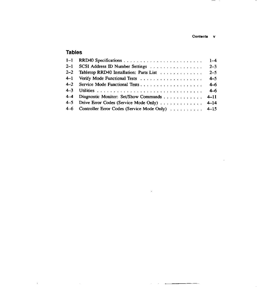**Contents V** 

 $\sim$ 

 $\cdot$ 

.

## **Tables**

 $\mathbf{r}$ 

 $\sim$   $\sim$ 

| $1 - 1$ |                                                      | $1 - 4$ |
|---------|------------------------------------------------------|---------|
| $2 - 1$ | SCSI Address ID Number Settings                      | $2 - 3$ |
| $2 - 2$ | Tabletop RRD40 Installation: Parts List              | $2 - 5$ |
| $4 - 1$ |                                                      | $4 - 5$ |
| $4 - 2$ |                                                      | $4 - 6$ |
| $4 - 3$ |                                                      | $4-6$   |
| $4-4$   | Diagnostic Monitor: Set/Show Commands 4-11           |         |
| $4 - 5$ | Drive Error Codes (Service Mode Only) 4-14           |         |
|         | 4-6 Controller Error Codes (Service Mode Only)  4-15 |         |

 $\mathbb{Z}^2$ 

 $\bar{\omega}$  $\sim 10$  $\sim$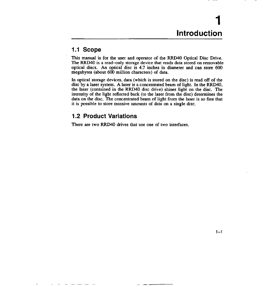# **1 Introduction**

## **1.1 Scope**

This manual is for the user and operator of the RRD40 Optical Disc Drive. The RRD40 is a read-only storage device that reads data stored on removable optical discs. An optical disc is 4.7 inches in diameter and can store 600 megabytes (about 600 million characters) of data.

In optical storage devices, data (which is stored on the disc) is read off of the disc by a laser system. A laser is a concentrated beam of light. In the RRD40, the laser (contained in the RRD40 disc drive) shines light on the disc. The intensity of the light reflected back (to the laser from the disc) determines the data on the disc. The concentrated beam of light from the laser is so fine that it is possible to store massive amounts of data on a single disc.

## **1.2 Product Variations**

There are two RRD40 drives that use one of two interfaces.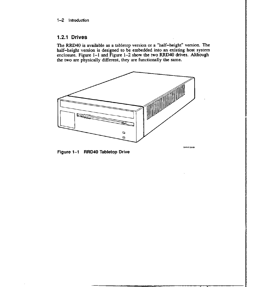## **1.2.1 Drives**

The RRD40 is available as a tabletop version or a "half-height" version. The half-height version is designed to be embedded into an existing host system enclosure. Figure 1-1 and Figure 1-2 show the two RRD40 drives. Although the two are physically different, they are functionally the same.



**Figure 1-1 RRD40 Tabletop Drive** 

J.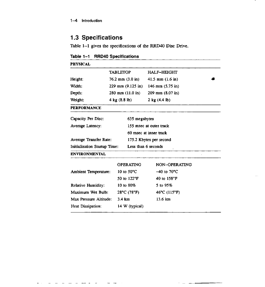$\overline{a}$ 

 $\sim$ 

# **1.3 Specifications**

Table 1-1 gives the specifications of the RRD40 Disc Drive.

**Table 1-1 RRD40 Specifications** 

| <b>PHYSICAL</b>                     |                                     |                                   |  |  |
|-------------------------------------|-------------------------------------|-----------------------------------|--|--|
|                                     | <b>TABLETOP</b>                     | <b>HALF-HEIGHT</b>                |  |  |
| Height:                             | $76.2$ mm $(3.0 \text{ in})$        | 41.5 mm $(1.6 \text{ in})$        |  |  |
| Width:                              | $229 \text{ mm} (9.125 \text{ in})$ | 146 mm $(5.75 \text{ in})$        |  |  |
| Depth:                              | $280$ mm $(11.0)$ in                | $209$ mm $(8.07$ in)              |  |  |
| Weight:                             | $4 \text{ kg} (8.8 \text{ lb})$     | $2$ kg $(4.4$ lb)                 |  |  |
| <b>PERFORMANCE</b>                  |                                     |                                   |  |  |
| Capacity Per Disc:<br>635 megabytes |                                     |                                   |  |  |
| Average Latency:                    |                                     | 155 msec at outer track           |  |  |
|                                     |                                     | 60 msec at inner track            |  |  |
| Average Transfer Rate:              |                                     | 175.2 Kbytes per second           |  |  |
| <b>Initialization Startup Time:</b> | Less than 6 seconds                 |                                   |  |  |
| <b>ENVIRONMENTAL</b>                |                                     |                                   |  |  |
|                                     | <b>OPERATING</b>                    | NON-OPERATING                     |  |  |
| <b>Ambient Temperature:</b>         | 10 to $50^{\circ}$ C                | $-40$ to $70^{\circ}$ C           |  |  |
|                                     | 50 to 122°F                         | 40 to 158°F                       |  |  |
| <b>Relative Humidity:</b>           | 10 to $80\%$                        | 5 to 95%                          |  |  |
| Maximum Wet Bulb:                   | $28^{\circ}$ C (78 $^{\circ}$ F)    | $46^{\circ}$ C (115 $^{\circ}$ F) |  |  |
| 3.4 km<br>Max Pressure Altitude:    |                                     | $13.6 \; \text{km}$               |  |  |
| Heat Dissipation:<br>14 W (typical) |                                     |                                   |  |  |

 $\downarrow$  $\sim$   $\sim$   $-$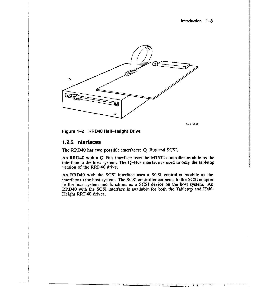Introduction 1-3



SHR-0148-88

istic and the control of the control of the control of the control of the control of the control of the control of the control of the control of the control of the control of the control of the control of the control of th

**International Control**<br>International Control<br>International Control

I I

!!<br>!!<br>!!

 $\overline{\phantom{a}}$ 

Figure 1-2 RRD40 Half-Height Drive

#### **1.2.2 Interfaces**

The RRD40 has two possible interfaces: Q-Bus and SCSI.

An RRD40 with a Q-Bus interface uses the M7552 controller module as the interface to the host system. The Q-Bus interface is used in only the tabletop version of the RRD40 drive.

An RRD40 with the SCSI interface uses a SCSI controller module as the interface to the host system. The SCSI controller connects to the SCSI adapter in the host system and functions as a SCSI device on the host system. An RRD40 with the SCSI interface is available for both the Tabletop and Half-Height RRD40 drives.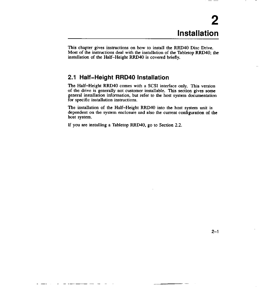This chapter gives instructions on how to install the RRD40 Disc Drive. Most of the instructions deal with the installation of the Tabletop RRD40; the installation of the Half-Height RRD40 is covered briefly.

## **2.1 Half-Height RRD40 Installation**

The Half-Height RRD40 comes with a SCSI interface only. This version of the drive is generally not customer installable. This section gives some general installation information, but refer to the host system documentation for specific installation instructions.

The installation of the Half-Height RRD40 into the host system unit is dependent on the system enclosure and also the current configuration of **the**  host system.

If you are installing a Tabletop RRD40, go to Section 2.2.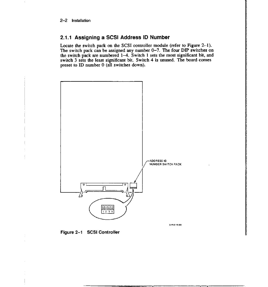## **2.1.1 Assigning a SCSI Address ID Number**

Locate the switch pack on the SCSI controller module (refer to Figure 2-1). The switch pack can be assigned any number 0-7. The four DIP switches on the switch pack are numbered 1-4. Switch 1 sets the most significant bit, and switch 3 sets the least significant bit. Switch 4 is unused. The board comes preset to ID number O (all switches down).



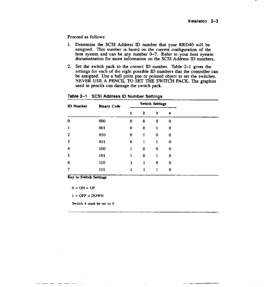Proceed as follows:

- 1. Determine the SCSI Address ID number that your RRD40 will be assigned. This number is based on the current configuration of the host system and can be any number 0-7. Refer to your host system documentation for more information on the SCSI Address ID numbers.
- 2. Set the switch pack to the correct ID number. Table 2-1 gives the settings for each of the eight possible ID numbers that the controller can be assigned. Use a ball point pen or pointed object to set the switches. NEVER USE A PENCIL TO SET THE SWITCH PACK. The graphite used in pencils can damage the switch pack.

| <b>ID</b> Number | <b>Binary Code</b> |                  |              | <b>Switch Settings</b> |          |
|------------------|--------------------|------------------|--------------|------------------------|----------|
|                  |                    | 1                | 2            | 3                      | 4        |
| 0                | 000                | 0                | 0            | 0                      | 0        |
|                  | 001                | $\boldsymbol{0}$ | 0            | 1                      | 0        |
| 2                | 010                | 0                | 1            | 0                      | 0        |
| 3                | 011                | 0                | 1            | ı                      | 0        |
| 4                | 100                | $\mathbf{1}$     | 0            | $\bf{0}$               | $\bf{0}$ |
| 5                | 101                | $\mathbf{1}$     | $\bf{0}$     | 1                      | 0        |
| 6                | 110                | 1                | $\mathbf{I}$ | $\bf{0}$               | 0        |
| 7                | 111                |                  | ı            |                        | 0        |

**Table 2-1 SCSI Address ID Number Settings** 

**Key to Switch Setting:,** 

 $0 = ON = UP$ 

- - -

 $1 =$  OFF = DOWN

**Switch 4 must be set to 0**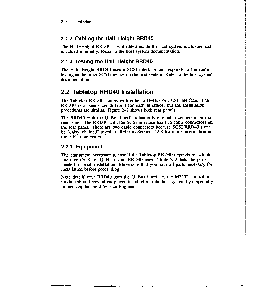## **2.1.2 Cabling the Half-Height RRD40**

The Half-Height RRD40 is embedded inside the host system enclosure and is cabled internally. Refer to the host system documentation.

## **2.1.3 Testing the Half-Height RRD40**

The Half-Height RRD40 uses a SCSI interface and responds to the same testing as the other SCSI devices on the host system. Refer to the host system documentation.

## **2.2 Tabletop RRD40 Installation**

The Tabletop RRD40 comes with either a Q-Bus or SCSI interface. The RRD40 rear panels are different for each interface, but the installation procedures are similar. Figure 2-2 shows both rear panels.

The RRD40 with the Q-Bus interface has only one cable connector on the rear panel. The RRD40 with the SCSI interface has two cable connectors on the rear panel. There are two cable connectors because SCSI RRD40's can be "daisy-chained" together. Refer to Section 2.2.3 for more information on the cable connectors.

## **2.2.1 Equipment**

The equipment necessary to install the Tabletop RRD40 depends on which interface (SCSI or Q-Bus) your RRD40 uses. Table 2-2 lists the parts needed for each installation. Make sure that you have all parts necessary for installation before proceeding.

Note that if your RRD40 uses the Q-Bus interface, the M7552 controller module should have already been installed into the host system by a specially trained Digital Field Service Engineer.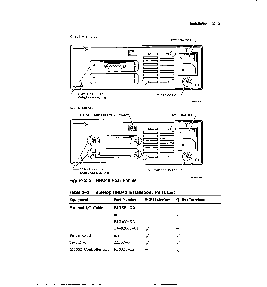

#### SCSI INTERFACE

- ----

 $\hat{\mathcal{A}}$ 





| Table 2-2 Tabletop RRD40 Installation: Parts List |  |  |  |  |  |  |
|---------------------------------------------------|--|--|--|--|--|--|
|---------------------------------------------------|--|--|--|--|--|--|

| Equipment            | Part Number       | <b>SCSI</b> Interface | Q-Bus Interface |
|----------------------|-------------------|-----------------------|-----------------|
| External I/O Cable   | BC18R-XX          |                       |                 |
|                      | or                |                       |                 |
|                      | BC16V-XX          |                       |                 |
|                      | $17 - 02007 - 01$ |                       |                 |
| Power Cord           | n/a               |                       |                 |
| <b>Test Disc</b>     | $23507 - 03$      | v                     |                 |
| M7552 Controller Kit | <b>KRO50-xx</b>   |                       | v               |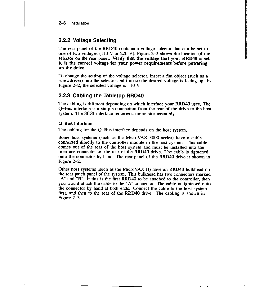## **2.2.2 Voltage Selecting**

The rear panel of the RRD40 contains a voltage selector that can be set to one of two voltages (110 V or 220 V). Figure 2-2 shows the location of the selector on the rear panel. **Verify that the voltage that your RRD40** is set **to is the correct voltage for your power requirements before powering up the drive.** 

To change the setting of the voltage selector, insert a flat object (such as a screwdriver) into the selector and turn so the desired voltage is facing up. In Figure 2-2, the selected voltage is 110 V.

## **2.2.3 Cabling the Tabletop RRD40**

The cabling is different depending on which interface your RRD40 uses. The Q-Bus interface is a simple connection from the rear of the drive to the host system. The SCSI interface requires a terminator assembly.

#### **0-Bus Interface**

The cabling for the Q-Bus interface depends on the host system.

Some host systems (such as the MicroVAX 3000 series) have a cable connected directly to the controller module in the host system. This cable comes out of the rear of the host system and must be installed into the interface connector on the rear of the RRD40 drive. The cable is tightened onto the connector by hand. The rear panel of the RRD40 drive is shown in Figure 2-2.

Other host systems (such as the MicroVAX II) have an RRD40 bulkhead on the rear patch panel of the system. This bulkhead has two connectors marked "A" and "B". If this is the first RRD40 to be attached to the controller, then you would attach the cable to the "A" connector. The cable is tightened onto the connector by hand at both ends. Connect the cable to the host system first, and then to the rear of the RRD40 drive. The cabling is shown in Figure 2-3.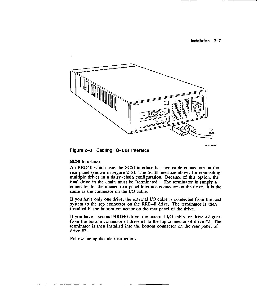#### lnslallation 2-7



SHP-0150-88



#### **SCSI Interface**

An RRD40 which uses the SCSI interface has two cable connectors on the rear panel (shown in Figure 2-2). The SCSI interface allows for connecting multiple drives in a daisy-chain configuration. Because of this option, the final drive in the chain must be "terminated". The terminator is simply a connector for the unused rear panel interface connector on the drive. It is the same as the connector on the  $\dot{I}/O$  cable.

If you have only one drive, the external I/0 cable is connected from the host system to the top connector on the RRD40 drive. The terminator is then installed in the bottom connector on the rear panel of the drive.

If you have a second RRD40 drive, the external I/0 cable for drive #2 goes from the bottom connector of drive #1 to the top connector of drive #2. The terminator is then installed into the bottom connector on the rear panel of drive #2.

Follow the applicable instructions.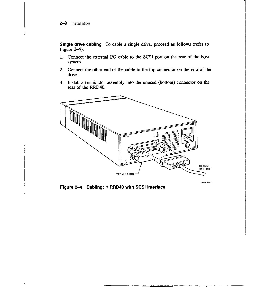#### 2-8 Installation

Single drive cabling To cable a single drive, proceed as follows (refer to Figure  $2-4$ :

- l. Connect the external 1/0 cable to the SCSI port on the rear of the host system.
- 2. Connect the other end of the cable to the top connector on the rear of the drive.
- 3. Install a terminator assembly into the unused (bottom) connector on the rear of the RRD40.



11

 $\mathcal{I}$  is a second control of the second control of the second control of the second control of the second control of the second control of the second control of the second control of the second control of the second co

**International Concernment**<br>International Concernment " **DE MERCHANDER MANA**<br>I

I '

Figure 2-4 Cabling: 1 RRD40 with SCSI Interface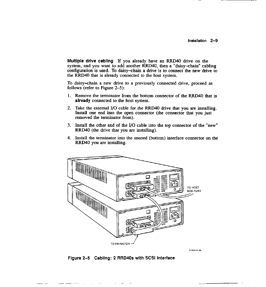**Multiple drive cabling** If you already have an RRD40 drive on the system, and you want to add another RRD40, then a "daisy-chain" cabling configuration is used. To daisy-chain a drive is to connect the new drive to the RRD40 that is already connected to the host system.

To daisy-chain a new drive to a previously connected drive, proceed as follows (refer to Figure 2-5):

- 1. Remove the terminator from the bottom connector of the RRD40 that is **already** connected to the host system.
- 2. Take the external I/O cable for the RRD40 drive that you are installing. Install one end into the open connector (the connector that you just removed the terminator from).
- 3. Install the other end of the I/0 cable into the top connector of the "new" RRD40 (the drive that you are installing).
- 4. Install the terminator into the unused (bottom) interface connector on the RRD40 you are installing.



**SHR-0162-68** 

**Figure** 2-5 **Cabling: 2 RRD40s with** SCSI **Interface**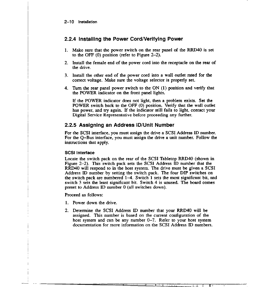2-10 Installation

## **2.2.4 Installing the Power Cord/Verifying Power**

- 1. Make sure that the power switch on the rear panel of the RRD40 is set to the OFF (0) position (refer to Figure 2-2).
- 2. Install the female end of the power cord into the receptacle on the rear of the drive.
- 3. Install the other end of the power cord into a wall outlet rated for the correct voltage. Make sure the voltage selector is properly set.
- 4. Tum the rear panel power switch to the ON (I) position and verify that the POWER indicator on the front panel lights.

If the POWER indicator does not light, then a problem exists. Set the POWER switch back to the OFF (0) position. Verify that the wall outlet has power, and try again. If the indicator still fails to light, contact your Digital Service Representative before proceeding any further.

## **2.2.5 Assigning an Address ID/Unit Number**

For the SCSI interface, you must assign the drive a SCSI Address ID number. For the Q-Bus interface, you must assign the drive a unit number. Follow the instructions that apply.

#### **SCSI Interface**

Locate the switch pack on the rear of the SCSI Tabletop RRD40 (shown in Figure 2-2). This switch pack sets the SCSI Address ID number that the RRD40 will respond to in the host system. The drive must be given a SCSI Address ID number by setting the switch pack. The four DIP switches on the switch pack are numbered  $1-4$ . Switch 1 sets the most significant bit, and switch 3 sets the least significant bit. Switch 4 is unused. The board comes preset to Address ID number O (all switches down).

Proceed as follows:

- I. Power down the drive.
- 2. Determine the SCSI Address ID number that your RRD40 will be assigned. This number is based on the current configuration of the host system and can be any number  $0-7$ . Refer to your host system documentation for more information on the SCSI Address ID numbers.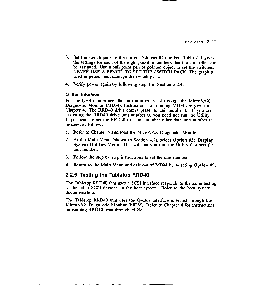- 3. Set the switch pack to the correct Address ID number. Table 2-1 gives the settings for each of the eight possible numbers that the controller can be assigned. Use a ball point pen or pointed object to set the switches. NEVER USE A PENCIL TO SET THE SWITCH PACK. The graphite used in pencils can damage the switch pack.
- 4. Verify power again by following step 4 in Section 2.2.4.

#### **0-Bus Interface**

For the Q-Bus interface, the unit number is set through the MicroVAX Diagnostic Monitor (MOM). Instructions for running MOM are given in Chapter 4. The RRD40 drive comes preset to unit number 0. If you are assigning the RRD40 drive unit number 0, you need not run the Utility. If you want to set the RRD40 to a unit number other than unit number 0, proceed as follows.

- I. Refer to Chapter 4 and load the MicroVAX Diagnostic Monitor.
- 2. At the Main Menu (shown in Section 4.2), select **Option #3: Display System Utilities Menu.** This will put you into the Utility that sets the unit number.
- 3. Follow the step by step instructions to set the unit number.
- 4. Return to the Main Menu and exit out of MOM by selecting Option #5.

#### **2.2.6 Testing the Tabletop RRD40**

The Tabletop RRD40 that uses a SCSI interface responds to the same testing as the other SCSI devices on the host system. Refer to the host system documentation.

The Tabletop RRD40 that uses the Q-Bus interface is tested through the MicroVAX Diagnostic Monitor (MOM). Refer to Chapter 4 for instructions on running RRD40 tests through MOM.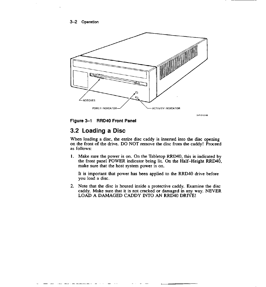3-2 Operation



**Figure 3-1 RRD40 Front Panel** 

## **3.2 Loading a Disc**

When loading a disc, the entire disc caddy is inserted into the disc opening on the front of the drive. DO NOT remove the disc from the caddy! Proceed as follows:

I. Make sure the power is on. On the Tabletop RRD40, this is indicated by the front panel POWER indicator being lit. On the Half-Height RRD40, make sure that the host system power is on.

It is important that power has been applied to the RRD40 drive before you load a disc.

2. Note that the disc is housed inside a protective caddy. Examine the disc caddy. Make sure that it is not cracked or damaged in any way. NEVER LOAD A DAMAGED CADDY INTO AN RRD40 DRIVE!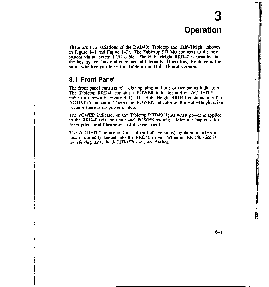**Facebook** 

I

i<br>Internet  $"$ 

I

I I

I

**International Control of Control Control of Control Control Control Control Control Control Control Control Co**<br>International Control Control Control Control Control Control Control Control Control Control Control Control

I

:

. In 1980.<br>In 1980 in 1980 in 1980 in 1980 in 1980 in 1980 in 1980 in 1980 in 1980 in 1980 in 1980 in 1980 in 1980 in 19<br>In 1980 in 1980 in 1980 in 1980 in 1980 in 1980 in 1980 in 1980 in 1980 in 1980 in 1980 in 1980 in 19

I

There are two variations of the RRD40: Tabletop and Half-Height (shown in Figure 1-1 and Figure 1-2). The Tabletop RRD40 connects to the host system via an external I/0 cable. The Half-Height RRD40 is installed in the host system box and is connected internally. **Operating the drive** is the **same whether you have the Tabletop or Half-Height version.** 

## **3.1 Front Panel**

The front panel consists of a disc opening and one or two status indicators. The Tabletop RRD40 contains a POWER indicator and an ACTIVITY indicator (shown in Figure 3-1). The Half-Height RRD40 contains only the ACTIVITY indicator. There is no POWER indicator on the Half-Height drive because there is no power switch.

The POWER indicator on the Tabletop RRD40 lights when power is applied to the RRD40 (via the rear panel POWER switch). Refer to Chapter 2 for descriptions and illustrations of the rear panel.

The ACTIVITY indicator (present on both versions) lights solid when a disc is correctly loaded into the RRD40 drive. When an RRD40 disc is transferring data, the ACTIVITY indicator flashes.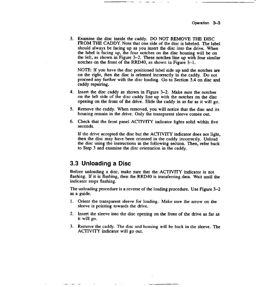3. Examine the disc inside the caddy. DO NOT REMOVE THE DISC FROM THE CADDY. Note that one side of the disc is labeled. The label should always be facing up as you insert the disc into the drive. When the label is facing up, the four notches on the disc housing will be on the left, as shown in Figure  $3-2$ . These notches line up with four similar notches on the front of the RRD40, as shown in Figure 3-1.

NOTE: If you have the disc positioned label side up and the notches are on the right, then the disc is oriented incorrectly in the caddy. Do not proceed any further with the disc loading. Go to Section 3.4 on disc and caddy repairing.

- 4. Insert the disc caddy as shown in Figure 3-2. Make sure the notches on the left side of the disc caddy line up with the notches on the disc opening on the front of the drive. Slide the caddy in as far as it will go.
- *5.* Remove the caddy. When removed, you will notice that the disc and its housing remain in the drive. Only the transparent sleeve comes out.
- 6. Check that the front panel ACTIVITY indicator lights solid within five seconds.

If the drive accepted the disc but the ACTIVITY indicator does not light, then the disc may have been oriented in the caddy incorrectly. Unload the disc using the instructions in the following section. Then, refer back to Step 3 and examine the disc orientation in the caddy.

## **3.3 Unloading a Disc**

Before unloading a disc, make sure that the ACTIVITY indicator is not flashing. If it is flashing, then the RRD40 is transferring data. Wait until the indicator stops flashing.

The unloading procedure is a reverse of the loading procedure. Use Figure 3-2 as a guide.

- I. Orient the transparent sleeve for loading. Make sure the arrow on the sleeve is pointing towards the drive.
- 2. Insert the sleeve into the disc opening on the front of the drive as far as it will go.
- 3. Remove the caddy. The disc and housing will be back in the sleeve. The ACTIVITY indicator will go out.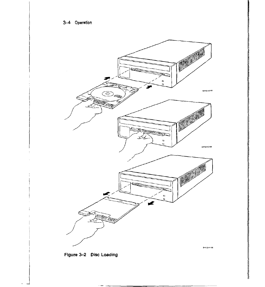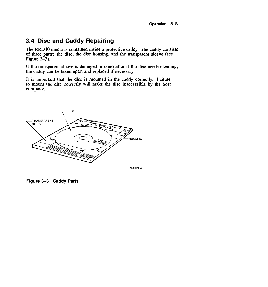Operation 3-5

------

## **3.4 Disc and Caddy Repairing**

The RRD40 media is contained inside a protective caddy. The caddy consists of three parts: the disc, the disc housing, and the transparent sleeve (see Figure 3-3).

If the transparent sleeve is damaged or cracked or if the disc needs cleaning, the caddy can be taken apart and replaced if necessary.

It is important that the disc is mounted in the caddy correctly. Failure to mount the disc correctly will make the disc inaccessible by the host computer.



**Figure 3-3 Caddy Parts**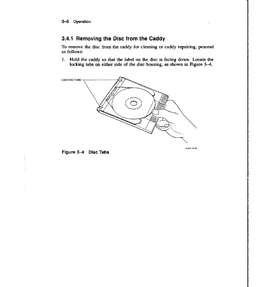## **3.4.1 Removing the Disc from the Caddy**

To remove the disc from the caddy for cleaning or caddy repairing, proceed as follows:

1. Hold the caddy so that the label on the disc is facing down. Locate the locking tabs on either side of the disc housing, as shown in **Figure** 3-4.



SHR-0145-88

ى تىل تىرى بىل تىلىپ بىلەن بىلەن كىلەن بىلەن تىلىپ بىلەن بىلەن كىلەن بىلەن بىلەن كىلەن بىلەن بىلەن كىلەن بىلەن<br>ئەنگەن ئىلەن ئىلەن ئىلەن بىلەن بىلەن ئىلەن ئىلەن بىلەن ئىلەن ئىلەن ئىلەن ئىلەن ئىلەن ئىلەن ئىلەن ئىلەن ئىلەن ئ

Figure 3-4 Disc Tabs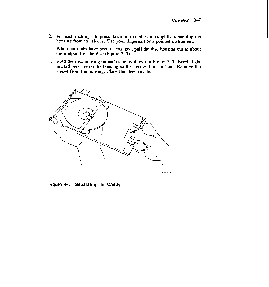2. For each locking tab, press down on the tab while slightly separating the housing from the sleeve. Use your fingernail or a pointed instrument.

When both tabs have been disengaged, pull the disc housing out to about the midpoint of the disc (Figure 3-5).

3. Hold the disc housing on each side as shown in Figure 3-5. Exert slight inward pressure on the housing so the disc will not fall out. Remove the sleeve from the housing. Place the sleeve aside.



Figure 3-5 Separating the Caddy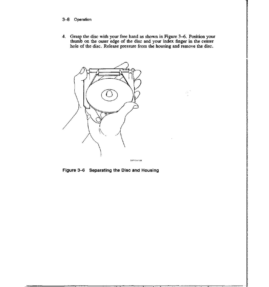#### 3-8 Operation

4. Grasp the disc with your free hand as shown in Figure 3-6. Position your thumb on the outer edge of the disc and your index finger in the center hole of the disc. Release pressure from the housing and remove the disc.



**Figure 3-6 Separating the Disc and Housing**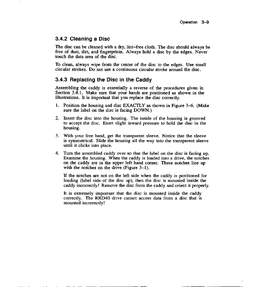### **3.4.2 Cleaning a Disc**

The disc can be cleaned with a dry, lint-free cloth. The disc should always be free of dust, dirt, and fingerprints. Always hold a disc by the edges. Never touch the data area of the disc.

To clean, always wipe from the center of the disc to the edges. Use small circular strokes. Do not use a continuous circular stroke around the disc.

## **3.4.3 Replacing the Disc in the Caddy**

Assembling the caddy is essentially a reverse of the procedures given in Section 3.4.1. Make sure that your hands are positioned as shown in the illustrations. It is important that you replace the disc correctly.

- 1. Position the housing and disc EXACTLY as shown in Figure 3-6. **(Make**  sure the label on the disc is facing DOWN.)
- 2. Insert the disc into the housing. The inside of the housing is grooved to accept the disc. Exert slight inward pressure to hold the disc in the housing.
- 3. With your free hand, get the transparent sleeve. Notice that the sleeve is symmetrical. Slide the housing all the way into the transparent sleeve until it clicks into place.
- 4. Turn the assembled caddy over so that the label on the disc is facing up. Examine the housing. When the caddy is loaded into a drive, the notches on the caddy are in the upper left hand comer. These notches line up with the notches on the drive (Figure  $3-1$ ).

If the notches are not on the left side when the caddy is positioned for loading (label side of the disc up), then the disc is mounted inside the caddy incorrectly! Remove the disc from the caddy and orient it properly.

It is extremely important that the disc is mounted inside the caddy correctly. The RRD40 drive cannot access data from a disc that is mounted incorrectly I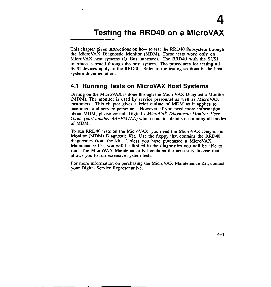This chapter gives instructions on how to test the RRD40 Subsystem through the MicroVAX Diagnostic Monitor (MOM). These tests work only on MicroVAX host systems (Q-Bus interface). The RRD40 with the SCSI interface is tested through the host system. The procedures for testing all SCSI devices apply to the RRD40. Refer to the testing sections in the host system documentation.

## **4.1 Running Tests on MicroVAX Host Systems**

Testing on the MicroVAX is done through the MicroVAX Diagnostic Monitor (MOM). The monitor is used by service personnel as well as MicroVAX customers. This chapter gives a brief outline of MOM as it applies to customers and service personnel. However, if you need more information about MOM, please consult Digital's *MicroVAX Diagnostic Monitor User Guide (part number AA-FM7AA)* which contains details on rwming all modes of MDM.

To run RRD40 tests on the MicroVAX, you need the MicroVAX Diagnostic Monitor (MOM) Diagnostic Kit. Use the floppy that contains the RRD40 diagnostics from the kit. Unless you have purchased a MicroVAX Maintenance Kit, you will be limited in the diagnostics you will be able to run. The MicroVAX Maintenance Kit contains the necessary license that allows you to run extensive system tests.

For more information on purchasing the MicroVAX Maintenance Kit, contact your Digital Service Representative.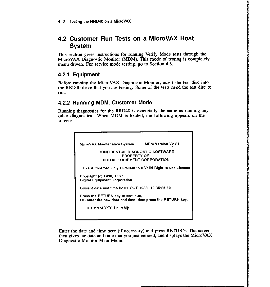## **4.2 Customer Run Tests on a MicroVAX Host System**

This section gives instructions for running Verify Mode tests through the MicroVAX Diagnostic Monitor **(MOM).** This mode of testing is completely menu driven. For service mode testing, go to Section 4.3.

•

## **4.2.1 Equipment**

Before running the MicroVAX Diagnostic Monitor, insert the test disc into the RRD40 drive that you are testing. Some of the tests need the test disc to run.

## **4.2.2 Running MDM: Customer Mode**

Running diagnostics for the RRD40 is essentially the same as running any other diagnostics. When MOM is loaded, the following appears on the **screen:** 



Enter the date and time here (if necessary) and press RETURN. The screen then gives the date and time that you just entered, and displays the MicroVAX Diagnostic Monitor Main Menu.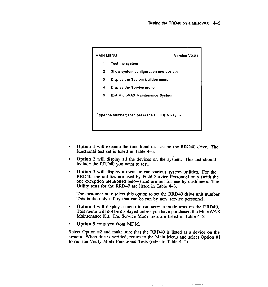

- **Option 1** will execute the functional test set on the RRD40 drive. The functional test set is listed in Table 4-1.
- **Option 2** will display all the devices on the system. This list should include the RRD40 you want to test.
- **Option 3** will display a menu to run various system utilities. For the RRD40, the utilities are used by Field Service Personnel only ( with the one exception mentioned below) and are not for use by customers. The Utility tests for the RRD40 are listed in Table 4-3.

The customer may select this option to set the RRD40 drive unit number. This is the only utility that can be run by non-service personnel.

- **Option 4** will display a menu to run service mode tests on the RRD40. This menu will not be displayed unless you have purchased the MicroVAX Maintenance Kit. The Service Mode tests are listed in Table 4-2.
- **Option 5** exits you from MDM.

Select Option #2 and make sure that the RRD40 is listed as a device on the system. When this is verified, return to the Main Menu and select Option #1 to run the Verify Mode Functional Tests (refer to Table 4-1 ).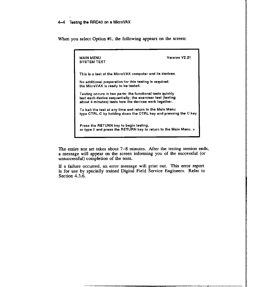When you select Option #1, the following appears on the screen:

| <b>MAIN MENU</b><br><b>SYSTEM TEST</b>                                                                                                                                           | Version V2.21 |
|----------------------------------------------------------------------------------------------------------------------------------------------------------------------------------|---------------|
| This is a test of the MicroVAX computer and its devices.                                                                                                                         |               |
| No additional preparation for this testing is required;<br>the MicroVAX is ready to be tested.                                                                                   |               |
| Testing occurs in two parts; the functional tests quickly<br>test each device sequentially; the exerciser test (lasting<br>about 4 minutes) tests how the devices work together. |               |
| To halt the test at any time and return to the Main Menu<br>type CTRL-C by holding down the CTRL key and pressing the C key.                                                     |               |
| Press the RETURN key to begin testing,<br>or type 0 and press the RETURN key to return to the Main Menu. >                                                                       |               |

The entire test set takes about 7-8 minutes. After the testing session ends, a message will appear on the screen informing you of the successful ( or unsuccessful) completion of the tests.

If a failure occurred, an error message will print out. This error report is for use by specially trained Digital Field Service Engineers. Refer to Section 4.3.6.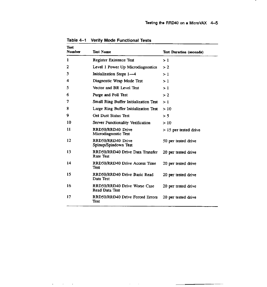.

| <b>Test</b><br><b>Number</b> | <b>Test Name</b>                                    | <b>Test Duration (seconds)</b> |
|------------------------------|-----------------------------------------------------|--------------------------------|
| 1                            | Register Existence Test                             | >1                             |
| 2                            | Level 1 Power Up Microdiagnostics                   | > 2                            |
| 3                            | Initialization Steps 1—4                            | >1                             |
| 4                            | Diagnostic Wrap Mode Test                           | >1                             |
| 5                            | Vector and BR Level Test                            | >1                             |
| 6                            | Purge and Poll Test                                 | >2                             |
| 7                            | <b>Small Ring Buffer Initialization Test</b>        | >1                             |
| 8                            | Large Ring Buffer Initialization Test               | >10                            |
| 9                            | <b>Get Dust Status Test</b>                         | > 5                            |
| 10                           | Server Functionality Verification                   | >10                            |
| 11                           | RRD50/RRD40 Drive<br>Microdiagnostic Test           | > 15 per tested drive          |
| 12                           | RRD50/RRD40 Drive<br>Spinup/Spindown Test           | 50 per tested drive            |
| 13                           | RRD50/RRD40 Drive Data Transfer<br><b>Rate Test</b> | 20 per tested drive            |
| 14                           | RRD50/RRD40 Drive Access Time<br>Test               | 20 per tested drive            |
| 15                           | RRD50/RRD40 Drive Basic Read<br>Data Test           | 20 per tested drive            |
| 16                           | RRD50/RRD40 Drive Worse Case<br>Read Data Test      | 20 per tested drive            |
| 17                           | RRD50/RRD40 Drive Forced Errors<br>Test             | 20 per tested drive            |

 $\sim$  $\sim$   $\sim$ 

 $\overline{\phantom{a}}$ 

**Table 4-1 Verify Mode** Functional **Tests**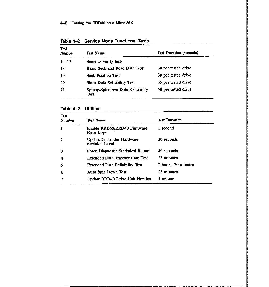| <b>Test</b><br><b>Number</b> | Test Name                                | <b>Test Duration (seconds)</b> |
|------------------------------|------------------------------------------|--------------------------------|
| $1 - 17$                     | Same as verify tests                     |                                |
| 18                           | Basic Seek and Read Data Tests           | 30 per tested drive            |
| 19                           | <b>Seek Position Test</b>                | 30 per tested drive            |
| -20                          | Short Data Reliability Test              | 35 per tested drive            |
| 21                           | Spinup/Spindown Data Reliability<br>Test | 50 per tested drive            |

Table 4-2 Service Mode Functional Tests

 $\epsilon$ 

| <b>Test</b><br><b>Number</b> | <b>Test Name</b>                                    | <b>Test Duration</b> |
|------------------------------|-----------------------------------------------------|----------------------|
| 1                            | Enable RRD50/RRD40 Firmware<br>Error Logs           | 1 second             |
| 2                            | Update Controller Hardware<br><b>Revision Level</b> | 20 seconds           |
| 3                            | Force Diagnostic Statistical Report                 | 40 seconds           |
| 4                            | <b>Extended Data Transfer Rate Test</b>             | 25 minutes           |
| 5                            | <b>Extended Data Reliability Test</b>               | 2 hours, 30 minutes  |
| 6                            | Auto Spin Down Test                                 | 25 minutes           |
|                              | Update RRD40 Drive Unit Number                      | 1 minute             |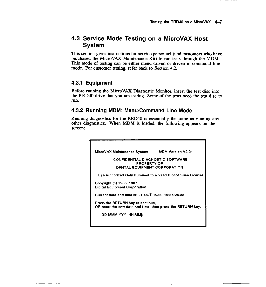## **4.3 Service Mode Testing on a MicroVAX Host System**

This section gives instructions for service personnel (and customers who have purchased the MicroVAX Maintenance Kit) to run tests through the MDM. This mode of testing can be either menu driven or driven in command line mode. For customer testing, refer back to Section 4.2.

#### **4.3.1 Equipment**

Before running the MicroVAX Diagnostic Monitor, insert the test disc into the RRD40 drive that you are testing. Some of the tests need the test disc to run.

#### **4.3.2 Running MDM: Menu/Command Line Mode**

Running diagnostics for the RRD40 is essentially the same as running any other diagnostics. When **MDM** is loaded, the following appears on the **screen:** 

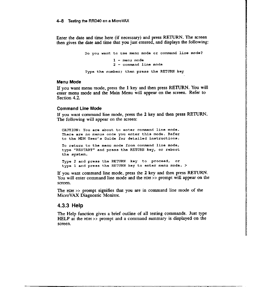#### 4-8 Testing the RRD40 on a MicroVAX

Enter the date and time here (if necessary) and press RETURN. The screen then gives the date and time that you just entered, and displays the following:

```
Do you want to use menu mode or command line mode? 
            1 - menu mode 
            2 - command line mode 
Type the number; then press the RETURN key
```
#### **Menu Mode**

If you want menu mode, press the **1** key and then press RETURN. You will enter menu mode and the Main Menu will appear on the screen. Refer to Section 4.2.

#### **Command Line Mode**

If you want command line mode, press the **2** key and then press RETURN. The following will appear on the screen:

CAUTION: You are about to enter command line mode. There are no menus once you enter this mode. Refer to the MOM User's Guide for detailed instructions. To return to the menu mode from command line mode, type "RESTART" and press the RETURN key, or reboot the system. Type 2 and press the RETURN key to proceed, or type 1 and press the RETURN key to enter menu mode. >

If you want command line mode, press the 2 key and then press RETURN. You will enter command line mode and the MDM >> prompt will appear on the screen.

The MDM >> prompt signifies that you are in command line mode of the MicroVAX Diagnostic Monitor.

#### **4.3.3 Help**

The Help function gives a brief outline of all testing commands. Just type HELP at the MDM >> prompt and a command summary is displayed on the screen.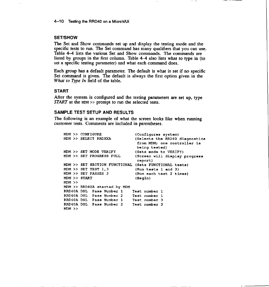#### **SET/SHOW**

The Set and Show commands set up and display the testing mode and the specific tests to run. The Set command has many qualifiers that you can use. Table 4-4 lists the various Set and Show commands. The commands are listed by groups in the first column. Table 4-4 also lists what to type in (to set a specific testing parameter) and what each command does.

Each group has a default parameter. The default is what is set if no specific Set command is given. The default is always the first option given in the *What to Type In* field of the table.

#### **START**

After the system is configured and the testing parameters are set up, type *START* at the MDM >> prompt to run the selected tests.

#### **SAMPLE TEST SETUP AND RESULTS**

The following is an example of what the screen looks like when running customer tests. Comments are included in parentheses.

|              | MDM >> CONFIGURE                       | (Configures system)                                                            |
|--------------|----------------------------------------|--------------------------------------------------------------------------------|
|              | MDM >> SELECT RRDXXA                   | (Selects the RRD40 diagnostics<br>from MDM; one controller is<br>being tested) |
|              | MDM >> SET MODE VERIFY                 | (Sets mode to VERIFY)                                                          |
|              | MDM >> SET PROGRESS FULL               | (Screen will display progress<br>report)                                       |
|              | MDM >> SET SECTION FUNCTIONAL          | (Sets FUNCTIONAL tests)                                                        |
|              | MDM >> SET TEST 1,3                    | (Run tests 1 and 3)                                                            |
|              | MDM >> SET PASSES 2                    | (Run each test 2 times)                                                        |
| MDM >> START |                                        | (Begin)                                                                        |
| $MDM$ $>$    |                                        |                                                                                |
|              | MDM >> RRD40A started by MDM           |                                                                                |
|              | RRD40A DSL Pass Number 1               | Test number 1                                                                  |
|              | RRD40A DSL Pass Number 2               | Test number 1                                                                  |
|              | RRD40A DSL Pass Number 1               | Test number 3                                                                  |
| $MDM$ $>$    | RRD40A DSL Pass Number 2 Test number 3 |                                                                                |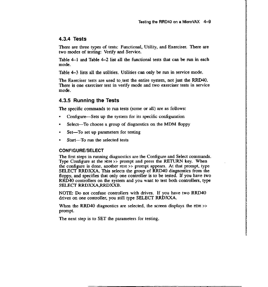I in the product of the state of the state of the state of the state of the state of the state of the state of<br>International control to the state of the state of the state of the state of the state of the state of the stat

### **4.3.4 Tests**

There are three types of tests: Functional, Utility, and Exerciser. There are two modes of testing: Verify and Service.

Table 4-1 and Table 4-2 list all the functional tests that can be run in each mode.

Table 4-3 lists all the utilities. Utilities can only be run in service mode.

The Exerciser tests are used to test the entire system, not just the RRD40. There is one exerciser test in verify mode and two exerciser tests in service mode.

### **4.3.5 Running the Tests**

The specific commands to run tests (some or all) are as follows:

- Configure—Sets up the system for its specific configuration
- Select-To choose a group of diagnostics on the **MOM** floppy
- Set-To set up parameters for testing
- Start-To run the selected tests

#### **CONFIGURE/SELECT**

The first steps in running diagnostics are the Configure and Select commands. Type Configure at the  $MDM \gg$  prompt and press the RETURN key. When the configure is done, another  $MDM \gg$  prompt appears. At that prompt, type SELECT RRDXXA. This selects the group of RRD40 diagnostics from the floppy, and specifies that only one controller is to be tested. If you have two RRD40 controllers on the system and you want to test both controllers, type SELECT RRDXXA,RRDXXB.

NOTE: Do not confuse controllers with drives. If you have two RRD40 drives on one controller, you still type SELECT **RRDXXA.** 

When the RRD40 diagnostics are selected, the screen displays the  $MDM$  >> prompt.

The next step is to SET the parameters for testing.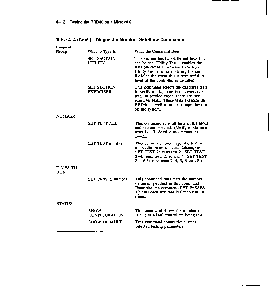| Command                |                                        |                                                                                                                                                                                                                                                       |
|------------------------|----------------------------------------|-------------------------------------------------------------------------------------------------------------------------------------------------------------------------------------------------------------------------------------------------------|
| Group                  | What to Type In                        | <b>What the Command Does</b>                                                                                                                                                                                                                          |
|                        | <b>SET SECTION</b><br><b>UTILITY</b>   | This section has two different tests that<br>can be set. Utility Test 1 enables the<br>RRD50/RRD40 firmware error logs.<br>Utility Test 2 is for updating the serial<br>RAM in the event that a new revision<br>level of the controller is installed. |
|                        | <b>SET SECTION</b><br><b>EXERCISER</b> | This command selects the exerciser tests.<br>In verify mode, there is one exerciser<br>test. In service mode, there are two<br>exerciser tests. These tests exercise the<br>RRD40 as well as other storage devices<br>on the system.                  |
| <b>NUMBER</b>          |                                        |                                                                                                                                                                                                                                                       |
|                        | <b>SET TEST ALL</b>                    | This command runs all tests in the mode<br>and section selected. (Verify mode runs<br>tests $1 - 17$ ; Service mode runs tests<br>$1 - 21.$                                                                                                           |
|                        | <b>SET TEST number</b>                 | This command runs a specific test or<br>a specific series of tests. (Examples:<br>SET TEST 2: runs test 2. SET TEST<br>2-4: runs tests 2, 3, and 4. SET TEST<br>$2,4-6,8$ : runs tests 2, 4, 5, 6, and 8.)                                            |
| TIMES TO<br><b>RUN</b> |                                        |                                                                                                                                                                                                                                                       |
|                        | <b>SET PASSES number</b>               | This command runs tests the number<br>of times specified in this command:<br>Example: the command SET PASSES<br>10 runs each test that is Set to run 10<br>times.                                                                                     |
| <b>STATUS</b>          |                                        |                                                                                                                                                                                                                                                       |
|                        | <b>SHOW</b><br><b>CONFIGURATION</b>    | This command shows the number of<br>RRD50/RRD40 controllers being tested.                                                                                                                                                                             |
|                        | <b>SHOW DEFAULT</b>                    | This command shows the current<br>selected testing parameters.                                                                                                                                                                                        |

**Table 4-4 (Cont.) Diagnostic Monitor: Set/Show Commands** 

 $\frac{1}{2}$ 

 $-$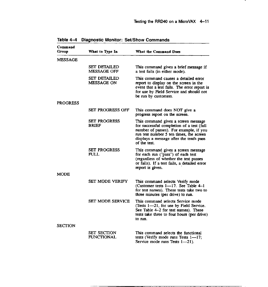.

| Command        |                                          |                                                                                                                                                                                                                                  |
|----------------|------------------------------------------|----------------------------------------------------------------------------------------------------------------------------------------------------------------------------------------------------------------------------------|
| Group          | What to Type In                          | What the Command Does                                                                                                                                                                                                            |
| MESSAGE        |                                          |                                                                                                                                                                                                                                  |
|                | <b>SET DETAILED</b><br>MESSAGE OFF       | This command gives a brief message if<br>a test fails (in either mode).                                                                                                                                                          |
|                | <b>SET DETAILED</b><br><b>MESSAGE ON</b> | This command causes a detailed error<br>report to display on the screen in the<br>event that a test fails. The error report is<br>for use by Field Service and should not<br>be run by customers.                                |
| PROGRESS       |                                          |                                                                                                                                                                                                                                  |
|                | SET PROGRESS OFF                         | This command does NOT give a<br>progress report on the screen.                                                                                                                                                                   |
|                | <b>SET PROGRESS</b><br><b>BRIEF</b>      | This command gives a screen message<br>for successful completion of a test (full<br>number of passes). For example, if you<br>run test number 5 ten times, the screen<br>displays a message after the tenth pass<br>of the test. |
|                | <b>SET PROGRESS</b><br><b>FULL</b>       | This command gives a screen message<br>for each run ("pass") of each test<br>(regardless of whether the test passes<br>or fails). If a test fails, a detailed error<br>report is given.                                          |
| MODE           |                                          |                                                                                                                                                                                                                                  |
|                | SET MODE VERIFY                          | This command selects Verify mode<br>(Customer tests 1-17. See Table 4-1<br>for test names). These tests take two to<br>three minutes (per drive) to run.                                                                         |
|                | <b>SET MODE SERVICE</b>                  | This command selects Service mode<br>(Tests 1-21, for use by Field Service.<br>See Table 4-2 for test names). These<br>tests take three to four hours (per drive)<br>to nin.                                                     |
| <b>SECTION</b> |                                          |                                                                                                                                                                                                                                  |
|                | SET SECTION<br><b>FUNCTIONAL</b>         | This command selects the functional<br>tests (Verify mode runs Tests 1--17;<br>Service mode runs Tests 1-21).                                                                                                                    |

Table 4-4 Diagnostic Monitor: Set/Show Commands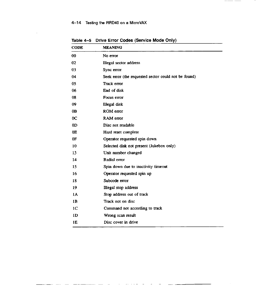## 4-14 Testing the RRD40 on a MicroVAX

 $\overline{a}$   $\overline{a}$ 

 $\sim$ 

 $-$ 

 $\frac{1}{2}$ 

 $\sim$  .

 $\sim$   $\sim$   $-$ 

 $\overline{\phantom{a}}$ 

 $\frac{1}{2} \frac{1}{2} \frac{1}{2} \frac{1}{2} \frac{1}{2} \frac{1}{2} \frac{1}{2} \frac{1}{2} \frac{1}{2} \frac{1}{2} \frac{1}{2} \frac{1}{2} \frac{1}{2} \frac{1}{2} \frac{1}{2} \frac{1}{2} \frac{1}{2} \frac{1}{2} \frac{1}{2} \frac{1}{2} \frac{1}{2} \frac{1}{2} \frac{1}{2} \frac{1}{2} \frac{1}{2} \frac{1}{2} \frac{1}{2} \frac{1}{2} \frac{1}{2} \frac{1}{2} \frac{1}{2} \frac{$ 

 $\mathcal{L}$ 

| <b>CODE</b>    | <b>MEANING</b>                                       |
|----------------|------------------------------------------------------|
| 00             | No error                                             |
| 02             | Illegal sector address                               |
| 03             | Sync error                                           |
| 04             | Seek error (the requested sector could not be found) |
| 05             | Track error                                          |
| 06             | End of disk                                          |
| 08             | Focus error                                          |
| 09             | Illegal disk                                         |
| 0 <sub>B</sub> | ROM error                                            |
| 0 <sup>C</sup> | RAM error                                            |
| 0 <sub>D</sub> | Disc not readable                                    |
| 0E             | Hard reset complete                                  |
| 0F             | Operator requested spin down                         |
| 10             | Selected disk not present (Jukebox only)             |
| 13             | Unit number changed                                  |
| 14             | Radial error                                         |
| 15             | Spin down due to inactivity timeout                  |
| 16             | Operator requested spin up                           |
| 18             | Subcode error                                        |
| 19             | Illegal stop address                                 |
| 1A             | Stop address out of track                            |
| 1 <sub>B</sub> | Track not on disc                                    |
| 1 <sub>C</sub> | Command not according to track                       |
| 1D             | Wrong scan result                                    |
| 1E             | Disc cover in drive                                  |

Table 4-5 Drive Error Codes (Service Mode Only)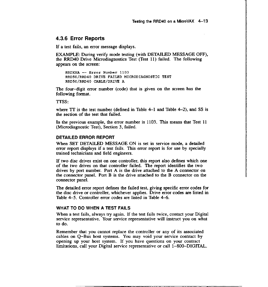$\label{eq:2.1} \begin{array}{ll} \displaystyle \frac{1}{2} \sum_{i=1}^{n} \sum_{j=1}^{n} \sum_{j=1}^{n} \sum_{j=1}^{n} \sum_{j=1}^{n} \sum_{j=1}^{n} \sum_{j=1}^{n} \sum_{j=1}^{n} \sum_{j=1}^{n} \sum_{j=1}^{n} \sum_{j=1}^{n} \sum_{j=1}^{n} \sum_{j=1}^{n} \sum_{j=1}^{n} \sum_{j=1}^{n} \sum_{j=1}^{n} \sum_{j=1}^{n} \sum_{j=1}^{n} \sum_{j=1}^{n} \sum_{j$ 

#### **4.3.6 Error Reports**

If a test fails, an error message displays.

EXAMPLE: During verify mode testing (with DETAILED MESSAGE OFF), the RRD40 Drive Microdiagnostics Test (Test 11) failed. The following appears on the screen:

**RRDXXA -- Error Number 1103**  RRD50/RRD40 DRIVE FAILED MICRODIAGNOSTIC TEST RRD50/RRD40 CABLE/DRIVE A

The four-digit error number (code) that is given on the screen has the following format.

TTSS:

where  $TT$  is the test number (defined in Table 4-1 and Table 4-2), and SS is the section of the test that failed.

**1n** the previous example, the error number is 1103. This means that Test 11 (Microdiagnostic Test), Section 3, failed.

#### **DETAILED ERROR REPORT**

When SET DETAILED MESSAGE ON is set in service mode, a detailed error report displays if a test fails. This error report is for use by specially trained technicians and field engineers.

If two disc drives exist on one controller, this report also defines which one of the two drives on that controller failed. The report identifies the two drives by port number. Port A is the drive attached to the A connector on the connector panel. Port B is the drive attached to the B connector on the connector panel.

The detailed error report defines the failed test, giving specific error codes for the disc drive or controller, whichever applies. Drive error codes are listed in Table 4-5. Controller error codes are listed in Table 4-6.

#### **WHAT TO DO WHEN A TEST FAILS**

When a test fails, always try again. If the test fails twice, contact your Digital service representative. Your service representative will instruct you on what to do.

Remember that you cannot replace the controller or any of its associated cables on Q-Bus host systems. You may void your service contract by opening up your host system. 1f you have questions on your contract limitations, call your Digital service representative or call 1-800-DIGITAL.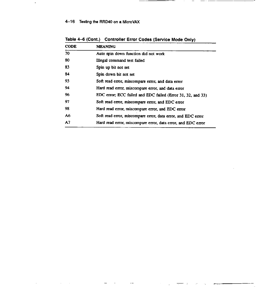### 4-16 Testing the RRD40 on a MicroVAX

 $\ddot{\phantom{1}}$ 

 $\bar{z}$ 

 $\bar{\tau}$ 

| <b>CODE</b> | <b>MEANING</b>                                               |
|-------------|--------------------------------------------------------------|
| 70          | Auto spin down function did not work                         |
| 80          | Illegal command test failed                                  |
| 83          | Spin up bit not set                                          |
| 84          | Spin down bit not set                                        |
| 93          | Soft read error, miscompare error, and data error            |
| 94          | Hard read error, miscompare error, and data error            |
| 96          | EDC error; ECC failed and EDC failed (Error 31, 32, and 33)  |
| 97          | Soft read error, miscompare error, and EDC error             |
| 98          | Hard read error, miscompare error, and EDC error             |
| A6          | Soft read error, miscompare error, data error, and EDC error |
| A7          | Hard read error, miscompare error, data error, and EDC error |

 $\ddot{\phantom{1}}$ 

 $\equiv$ 

Table 4-6 (Cont.) Controller Error Codes (Service Mode Only)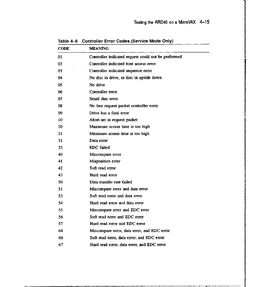**12** I! II lš. i<br>Markovinski koledar<br>Markovinski koledar I! II الاتحاد المراكز المراكز المراكز المراكز المراكز المراكز المراكز المراكز المراكز المراكز المراكز المراكز المراكز<br>المراكز المراكز المراكز المراكز المراكز المراكز المراكز المراكز المراكز المراكز المراكز المراكز المراكز المرا lk,

IS A REPORT OF THE REPORT OF THE RESIDENCE OF THE RESIDENCE OF THE RESIDENCE OF THE RESIDENCE OF THE RESIDENCE OF THE RESIDENCE OF THE RESIDENCE OF THE RESIDENCE OF THE RESIDENCE OF THE RESIDENCE OF THE RESIDENCE OF THE RE

**ISBN 978-878 Indiana**<br>Indiana **In Collection** 

**ISTORIA ANTIQUE ANTIQUE DE L'AUTORITA DE L'AUTORITA DE L'AUTORITA DE L'AUTORITA DE L'AUTORITA DE L'AUTORITA DE**<br>ISTORIA

**ISBN 2016年7月17日**<br>New York - アーラー・アーラー

l. l,

II المراجع بديها المراجع المراجع المراجع المراجع المراجع المراجع المراجع المراجع المراجع المراجع المراجع المراجع<br>المراجع

I i

**I in the Property of the Second Second Second Second Second Second Second Second Second Second Second Second S** 

!!<br>!! Alangan Y **ISBN 978-978-078 Internet Control International Control** ing ang kalamatan.<br>Mga ang kalamatan ! **International Control** II **International** fi li.<br>I **in the company's company's company's company's company's company's company's company's company's company's company's company's company's company's company's company's company's company's company's company's company's comp** ri **is a construction of the construction** In the Second Second Property of the II I ! ! Ji

| CODE | <b>MEANING</b>                                      |
|------|-----------------------------------------------------|
| 01   | Controller indicated request could not be performed |
| 02   | Controller indicated host access error              |
| 03   | Controller indicated sequence error                 |
| 04   | No disc in drive, or disc in upside down            |
| 05   | No drive                                            |
| 06   | Controller error                                    |
| 07   | Small disc error                                    |
| 08   | No free request packet controller error             |
| 09   | Drive has a fatal error                             |
| 10   | Abort set in request packet                         |
| 20   | Maximum access time is too high                     |
| 21   | Minimum access time is too high                     |
| 31   | Data error                                          |
| 33   | EDC failed                                          |
| 40   | Miscompare error                                    |
| 41   | Misposition error                                   |
| 42   | Soft read error                                     |
| 43   | Hard read error                                     |
| 50.  | Data transfer rate failed                           |
| 51   | Miscompare error and data error                     |
| 53.  | Soft read error and data error                      |
| 54   | Hard read error and data error                      |
| 55   | Miscompare error and EDC error                      |
| 56   | Soft read error and EDC error                       |
| 57   | Hard read error and EDC error                       |
| 64   | Miscompare error, data error, and EDC error         |
| 66   | Soft read error, data error, and EDC error          |
| 67   | Hard read error, data error, and EDC error          |

Table 4-6 Controller Error Codes (Service Mode Only)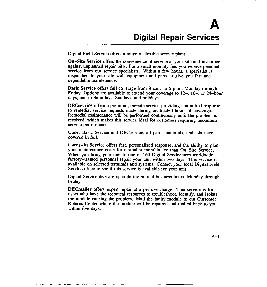Digital Field Service offers a range of flexible service plans.

**On-Site Service** offers the convenience of service at your site and insurance against unplanned repair bills. For a small monthly fee, you receive personal service from our service specialists. Within a few hours, a specialist is dispatched to your site with equipment and parts to give you fast and dependable maintenance.

**Basic Service** offers full coverage from 8 a.m. to 5 p.m., Monday through Friday. Options are available to extend your coverage to 12-, 16-, or 24-hour days, and to Saturdays, Sundays, and holidays.

**DECservice** offers a premium, on-site service providing committed response to remedial service requests made during contracted hours of coverage. Remedial maintenance will be performed continuously until the problem is resolved, which makes this service ideal for customers requiring maximum service performance.

Under Basic Service and DECservice, all parts, materials, and labor are covered in full.

**Carry-In Service** offers fast, personalized response, and the ability to plan your maintenance costs for a smaller monthly fee than On-Site Service. When you bring your unit to one of 160 Digital Servicenters worldwide, factory-trained personnel repair your unit within two days. This service is available on selected terminals and systems. Contact your local Digital Field Service office to see if this service is available for your unit.

Digital Servicenters are open during normal business hours, Monday through Friday.

**DECmailer** offers expert repair at a per use charge. This service is for users who have the technical resources to troubleshoot, identify, and isolate the module causing the problem. Mail the faulty module to our Customer Returns Center where the module will be repaired and mailed back to you within five days.